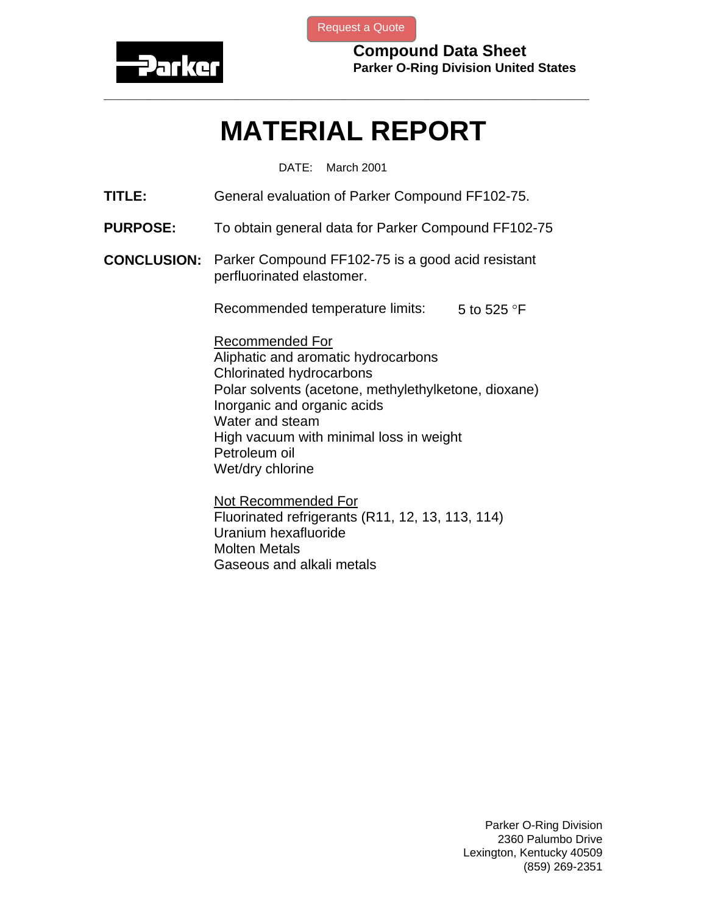

[Request a Quote](http://www.marcorubber.com/contact_quote.htm?material=Parker+FF102-75)

**Compound Data Sheet Parker O-Ring Division United States** 

## **MATERIAL REPORT**

**\_\_\_\_\_\_\_\_\_\_\_\_\_\_\_\_\_\_\_\_\_\_\_\_\_\_\_\_\_\_\_\_\_\_\_\_\_\_\_\_\_\_\_\_\_\_\_\_\_\_\_\_\_\_\_\_\_\_\_\_\_\_\_** 

DATE: March 2001

- **TITLE:** General evaluation of Parker Compound FF102-75.
- **PURPOSE:** To obtain general data for Parker Compound FF102-75
- **CONCLUSION:** Parker Compound FF102-75 is a good acid resistant perfluorinated elastomer.

Recommended temperature limits:  $5$  to 525 °F

Recommended For Aliphatic and aromatic hydrocarbons Chlorinated hydrocarbons Polar solvents (acetone, methylethylketone, dioxane) Inorganic and organic acids Water and steam High vacuum with minimal loss in weight Petroleum oil Wet/dry chlorine

Not Recommended For Fluorinated refrigerants (R11, 12, 13, 113, 114) Uranium hexafluoride Molten Metals Gaseous and alkali metals

> Parker O-Ring Division 2360 Palumbo Drive Lexington, Kentucky 40509 (859) 269-2351